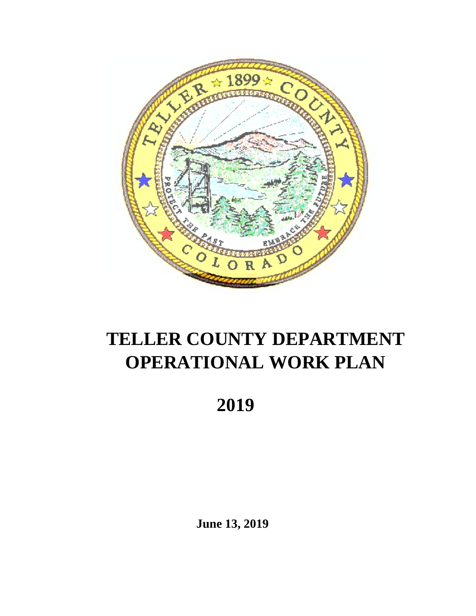

# **TELLER COUNTY DEPARTMENT OPERATIONAL WORK PLAN**

 **2019**

**June 13, 2019**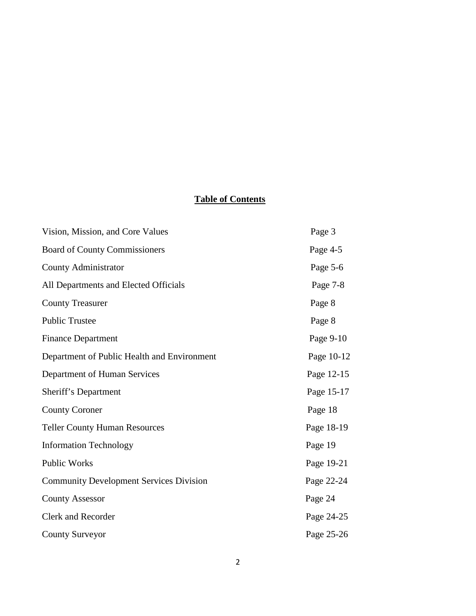# **Table of Contents**

| Vision, Mission, and Core Values               | Page 3     |
|------------------------------------------------|------------|
| <b>Board of County Commissioners</b>           | Page 4-5   |
| <b>County Administrator</b>                    | Page 5-6   |
| All Departments and Elected Officials          | Page 7-8   |
| <b>County Treasurer</b>                        | Page 8     |
| <b>Public Trustee</b>                          | Page 8     |
| <b>Finance Department</b>                      | Page 9-10  |
| Department of Public Health and Environment    | Page 10-12 |
| Department of Human Services                   | Page 12-15 |
| Sheriff's Department                           | Page 15-17 |
| <b>County Coroner</b>                          | Page 18    |
| <b>Teller County Human Resources</b>           | Page 18-19 |
| <b>Information Technology</b>                  | Page 19    |
| Public Works                                   | Page 19-21 |
| <b>Community Development Services Division</b> | Page 22-24 |
| <b>County Assessor</b>                         | Page 24    |
| <b>Clerk and Recorder</b>                      | Page 24-25 |
| <b>County Surveyor</b>                         | Page 25-26 |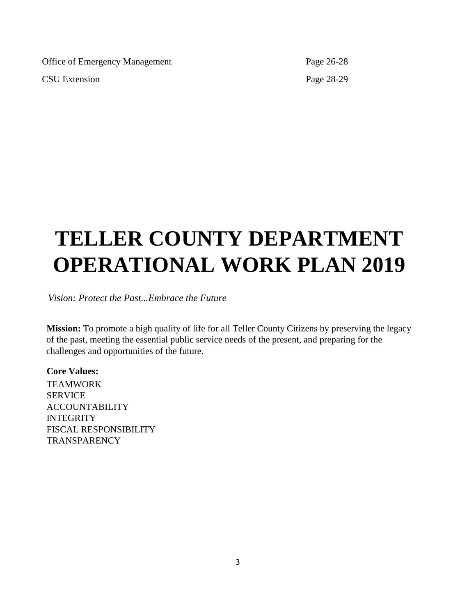Office of Emergency Management Page 26-28 CSU Extension Page 28-29

# **TELLER COUNTY DEPARTMENT OPERATIONAL WORK PLAN 2019**

*Vision: Protect the Past...Embrace the Future*

**Mission:** To promote a high quality of life for all Teller County Citizens by preserving the legacy of the past, meeting the essential public service needs of the present, and preparing for the challenges and opportunities of the future.

**Core Values: TEAMWORK SERVICE** ACCOUNTABILITY INTEGRITY FISCAL RESPONSIBILITY **TRANSPARENCY**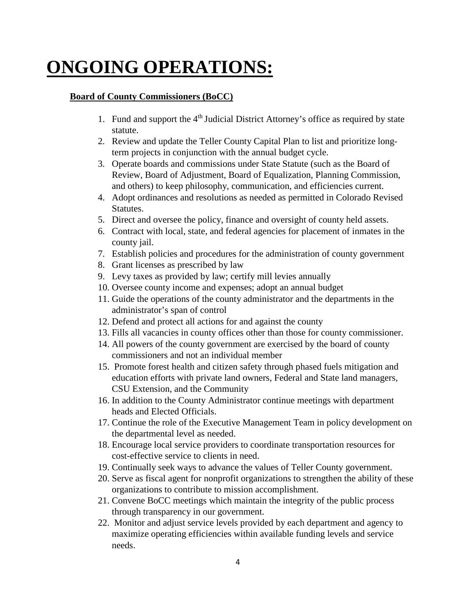# **ONGOING OPERATIONS:**

## **Board of County Commissioners (BoCC)**

- 1. Fund and support the  $4<sup>th</sup>$  Judicial District Attorney's office as required by state statute.
- 2. Review and update the Teller County Capital Plan to list and prioritize longterm projects in conjunction with the annual budget cycle.
- 3. Operate boards and commissions under State Statute (such as the Board of Review, Board of Adjustment, Board of Equalization, Planning Commission, and others) to keep philosophy, communication, and efficiencies current.
- 4. Adopt ordinances and resolutions as needed as permitted in Colorado Revised Statutes.
- 5. Direct and oversee the policy, finance and oversight of county held assets.
- 6. Contract with local, state, and federal agencies for placement of inmates in the county jail.
- 7. Establish policies and procedures for the administration of county government
- 8. Grant licenses as prescribed by law
- 9. Levy taxes as provided by law; certify mill levies annually
- 10. Oversee county income and expenses; adopt an annual budget
- 11. Guide the operations of the county administrator and the departments in the administrator's span of control
- 12. Defend and protect all actions for and against the county
- 13. Fills all vacancies in county offices other than those for county commissioner.
- 14. All powers of the county government are exercised by the board of county commissioners and not an individual member
- 15. Promote forest health and citizen safety through phased fuels mitigation and education efforts with private land owners, Federal and State land managers, CSU Extension, and the Community
- 16. In addition to the County Administrator continue meetings with department heads and Elected Officials.
- 17. Continue the role of the Executive Management Team in policy development on the departmental level as needed.
- 18. Encourage local service providers to coordinate transportation resources for cost-effective service to clients in need.
- 19. Continually seek ways to advance the values of Teller County government.
- 20. Serve as fiscal agent for nonprofit organizations to strengthen the ability of these organizations to contribute to mission accomplishment.
- 21. Convene BoCC meetings which maintain the integrity of the public process through transparency in our government.
- 22. Monitor and adjust service levels provided by each department and agency to maximize operating efficiencies within available funding levels and service needs.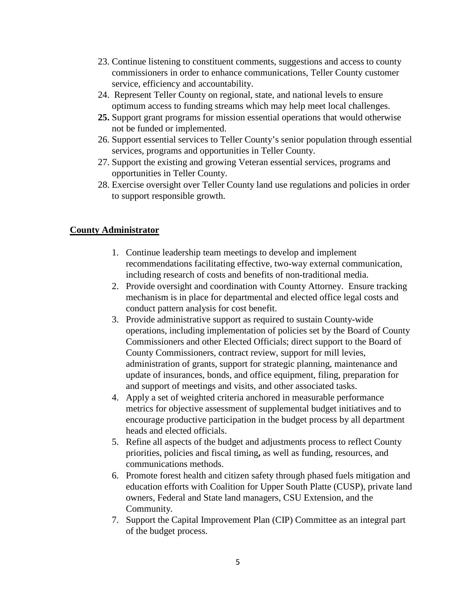- 23. Continue listening to constituent comments, suggestions and access to county commissioners in order to enhance communications, Teller County customer service, efficiency and accountability.
- 24. Represent Teller County on regional, state, and national levels to ensure optimum access to funding streams which may help meet local challenges.
- **25.** Support grant programs for mission essential operations that would otherwise not be funded or implemented.
- 26. Support essential services to Teller County's senior population through essential services, programs and opportunities in Teller County.
- 27. Support the existing and growing Veteran essential services, programs and opportunities in Teller County.
- 28. Exercise oversight over Teller County land use regulations and policies in order to support responsible growth.

## **County Administrator**

- 1. Continue leadership team meetings to develop and implement recommendations facilitating effective, two-way external communication, including research of costs and benefits of non-traditional media.
- 2. Provide oversight and coordination with County Attorney. Ensure tracking mechanism is in place for departmental and elected office legal costs and conduct pattern analysis for cost benefit.
- 3. Provide administrative support as required to sustain County-wide operations, including implementation of policies set by the Board of County Commissioners and other Elected Officials; direct support to the Board of County Commissioners, contract review, support for mill levies, administration of grants, support for strategic planning, maintenance and update of insurances, bonds, and office equipment, filing, preparation for and support of meetings and visits, and other associated tasks.
- 4. Apply a set of weighted criteria anchored in measurable performance metrics for objective assessment of supplemental budget initiatives and to encourage productive participation in the budget process by all department heads and elected officials.
- 5. Refine all aspects of the budget and adjustments process to reflect County priorities, policies and fiscal timing**,** as well as funding, resources, and communications methods.
- 6. Promote forest health and citizen safety through phased fuels mitigation and education efforts with Coalition for Upper South Platte (CUSP), private land owners, Federal and State land managers, CSU Extension, and the Community.
- 7. Support the Capital Improvement Plan (CIP) Committee as an integral part of the budget process.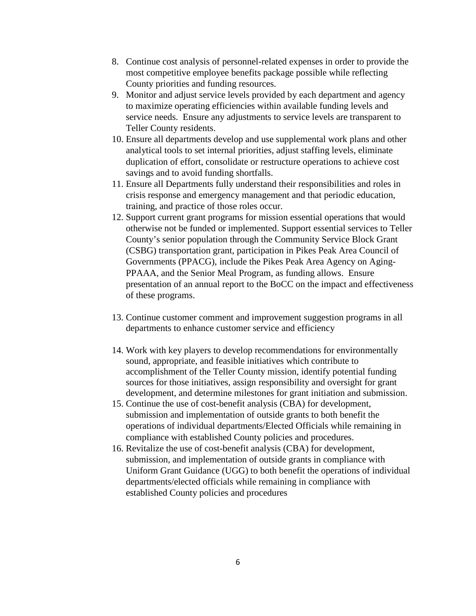- 8. Continue cost analysis of personnel-related expenses in order to provide the most competitive employee benefits package possible while reflecting County priorities and funding resources.
- 9. Monitor and adjust service levels provided by each department and agency to maximize operating efficiencies within available funding levels and service needs. Ensure any adjustments to service levels are transparent to Teller County residents.
- 10. Ensure all departments develop and use supplemental work plans and other analytical tools to set internal priorities, adjust staffing levels, eliminate duplication of effort, consolidate or restructure operations to achieve cost savings and to avoid funding shortfalls.
- 11. Ensure all Departments fully understand their responsibilities and roles in crisis response and emergency management and that periodic education, training, and practice of those roles occur.
- 12. Support current grant programs for mission essential operations that would otherwise not be funded or implemented. Support essential services to Teller County's senior population through the Community Service Block Grant (CSBG) transportation grant, participation in Pikes Peak Area Council of Governments (PPACG), include the Pikes Peak Area Agency on Aging-PPAAA, and the Senior Meal Program, as funding allows. Ensure presentation of an annual report to the BoCC on the impact and effectiveness of these programs.
- 13. Continue customer comment and improvement suggestion programs in all departments to enhance customer service and efficiency
- 14. Work with key players to develop recommendations for environmentally sound, appropriate, and feasible initiatives which contribute to accomplishment of the Teller County mission, identify potential funding sources for those initiatives, assign responsibility and oversight for grant development, and determine milestones for grant initiation and submission.
- 15. Continue the use of cost-benefit analysis (CBA) for development, submission and implementation of outside grants to both benefit the operations of individual departments/Elected Officials while remaining in compliance with established County policies and procedures.
- 16. Revitalize the use of cost-benefit analysis (CBA) for development, submission, and implementation of outside grants in compliance with Uniform Grant Guidance (UGG) to both benefit the operations of individual departments/elected officials while remaining in compliance with established County policies and procedures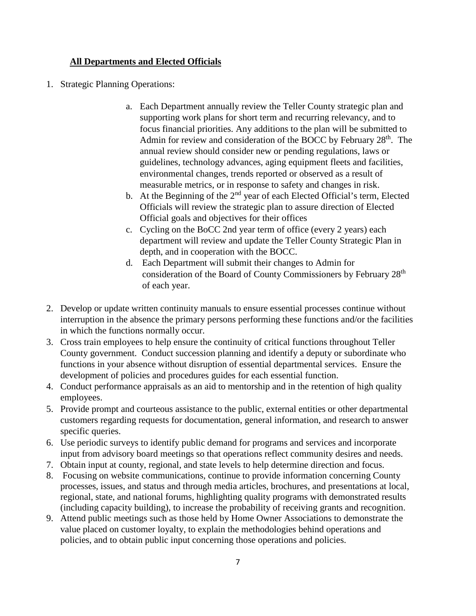# **All Departments and Elected Officials**

- 1. Strategic Planning Operations:
	- a. Each Department annually review the Teller County strategic plan and supporting work plans for short term and recurring relevancy, and to focus financial priorities. Any additions to the plan will be submitted to Admin for review and consideration of the BOCC by February  $28<sup>th</sup>$ . The annual review should consider new or pending regulations, laws or guidelines, technology advances, aging equipment fleets and facilities, environmental changes, trends reported or observed as a result of measurable metrics, or in response to safety and changes in risk.
	- b. At the Beginning of the  $2<sup>nd</sup>$  year of each Elected Official's term, Elected Officials will review the strategic plan to assure direction of Elected Official goals and objectives for their offices
	- c. Cycling on the BoCC 2nd year term of office (every 2 years) each department will review and update the Teller County Strategic Plan in depth, and in cooperation with the BOCC.
	- d. Each Department will submit their changes to Admin for consideration of the Board of County Commissioners by February 28<sup>th</sup> of each year.
- 2. Develop or update written continuity manuals to ensure essential processes continue without interruption in the absence the primary persons performing these functions and/or the facilities in which the functions normally occur.
- 3. Cross train employees to help ensure the continuity of critical functions throughout Teller County government. Conduct succession planning and identify a deputy or subordinate who functions in your absence without disruption of essential departmental services. Ensure the development of policies and procedures guides for each essential function.
- 4. Conduct performance appraisals as an aid to mentorship and in the retention of high quality employees.
- 5. Provide prompt and courteous assistance to the public, external entities or other departmental customers regarding requests for documentation, general information, and research to answer specific queries.
- 6. Use periodic surveys to identify public demand for programs and services and incorporate input from advisory board meetings so that operations reflect community desires and needs.
- 7. Obtain input at county, regional, and state levels to help determine direction and focus.
- 8. Focusing on website communications, continue to provide information concerning County processes, issues, and status and through media articles, brochures, and presentations at local, regional, state, and national forums, highlighting quality programs with demonstrated results (including capacity building), to increase the probability of receiving grants and recognition.
- 9. Attend public meetings such as those held by Home Owner Associations to demonstrate the value placed on customer loyalty, to explain the methodologies behind operations and policies, and to obtain public input concerning those operations and policies.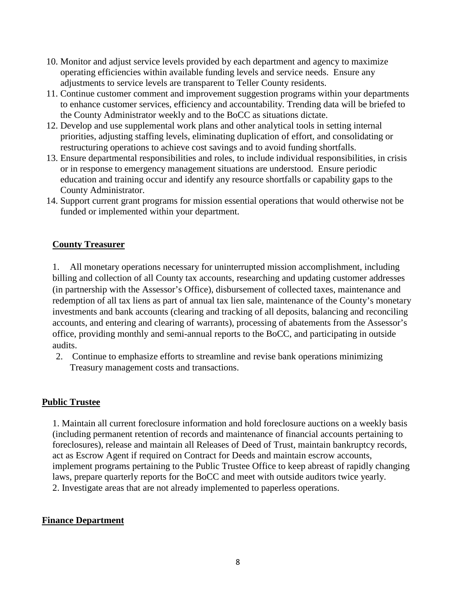- 10. Monitor and adjust service levels provided by each department and agency to maximize operating efficiencies within available funding levels and service needs. Ensure any adjustments to service levels are transparent to Teller County residents.
- 11. Continue customer comment and improvement suggestion programs within your departments to enhance customer services, efficiency and accountability. Trending data will be briefed to the County Administrator weekly and to the BoCC as situations dictate.
- 12. Develop and use supplemental work plans and other analytical tools in setting internal priorities, adjusting staffing levels, eliminating duplication of effort, and consolidating or restructuring operations to achieve cost savings and to avoid funding shortfalls.
- 13. Ensure departmental responsibilities and roles, to include individual responsibilities, in crisis or in response to emergency management situations are understood. Ensure periodic education and training occur and identify any resource shortfalls or capability gaps to the County Administrator.
- 14. Support current grant programs for mission essential operations that would otherwise not be funded or implemented within your department.

## **County Treasurer**

1. All monetary operations necessary for uninterrupted mission accomplishment, including billing and collection of all County tax accounts, researching and updating customer addresses (in partnership with the Assessor's Office), disbursement of collected taxes, maintenance and redemption of all tax liens as part of annual tax lien sale, maintenance of the County's monetary investments and bank accounts (clearing and tracking of all deposits, balancing and reconciling accounts, and entering and clearing of warrants), processing of abatements from the Assessor's office, providing monthly and semi-annual reports to the BoCC, and participating in outside audits.

2. Continue to emphasize efforts to streamline and revise bank operations minimizing Treasury management costs and transactions.

#### **Public Trustee**

1. Maintain all current foreclosure information and hold foreclosure auctions on a weekly basis (including permanent retention of records and maintenance of financial accounts pertaining to foreclosures), release and maintain all Releases of Deed of Trust, maintain bankruptcy records, act as Escrow Agent if required on Contract for Deeds and maintain escrow accounts, implement programs pertaining to the Public Trustee Office to keep abreast of rapidly changing laws, prepare quarterly reports for the BoCC and meet with outside auditors twice yearly. 2. Investigate areas that are not already implemented to paperless operations.

#### **Finance Department**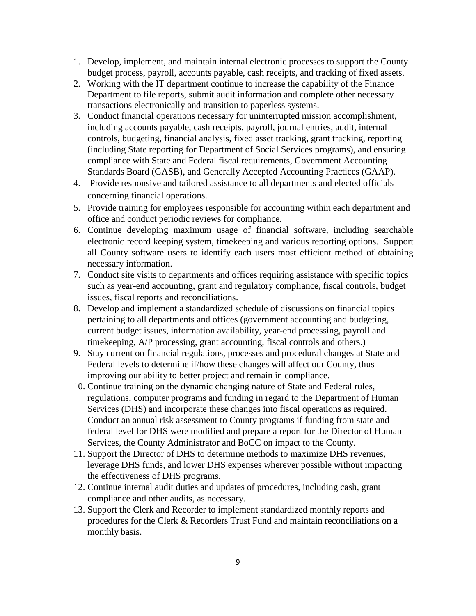- 1. Develop, implement, and maintain internal electronic processes to support the County budget process, payroll, accounts payable, cash receipts, and tracking of fixed assets.
- 2. Working with the IT department continue to increase the capability of the Finance Department to file reports, submit audit information and complete other necessary transactions electronically and transition to paperless systems.
- 3. Conduct financial operations necessary for uninterrupted mission accomplishment, including accounts payable, cash receipts, payroll, journal entries, audit, internal controls, budgeting, financial analysis, fixed asset tracking, grant tracking, reporting (including State reporting for Department of Social Services programs), and ensuring compliance with State and Federal fiscal requirements, Government Accounting Standards Board (GASB), and Generally Accepted Accounting Practices (GAAP).
- 4. Provide responsive and tailored assistance to all departments and elected officials concerning financial operations.
- 5. Provide training for employees responsible for accounting within each department and office and conduct periodic reviews for compliance.
- 6. Continue developing maximum usage of financial software, including searchable electronic record keeping system, timekeeping and various reporting options. Support all County software users to identify each users most efficient method of obtaining necessary information.
- 7. Conduct site visits to departments and offices requiring assistance with specific topics such as year-end accounting, grant and regulatory compliance, fiscal controls, budget issues, fiscal reports and reconciliations.
- 8. Develop and implement a standardized schedule of discussions on financial topics pertaining to all departments and offices (government accounting and budgeting, current budget issues, information availability, year-end processing, payroll and timekeeping, A/P processing, grant accounting, fiscal controls and others.)
- 9. Stay current on financial regulations, processes and procedural changes at State and Federal levels to determine if/how these changes will affect our County, thus improving our ability to better project and remain in compliance.
- 10. Continue training on the dynamic changing nature of State and Federal rules, regulations, computer programs and funding in regard to the Department of Human Services (DHS) and incorporate these changes into fiscal operations as required. Conduct an annual risk assessment to County programs if funding from state and federal level for DHS were modified and prepare a report for the Director of Human Services, the County Administrator and BoCC on impact to the County.
- 11. Support the Director of DHS to determine methods to maximize DHS revenues, leverage DHS funds, and lower DHS expenses wherever possible without impacting the effectiveness of DHS programs.
- 12. Continue internal audit duties and updates of procedures, including cash, grant compliance and other audits, as necessary.
- 13. Support the Clerk and Recorder to implement standardized monthly reports and procedures for the Clerk & Recorders Trust Fund and maintain reconciliations on a monthly basis.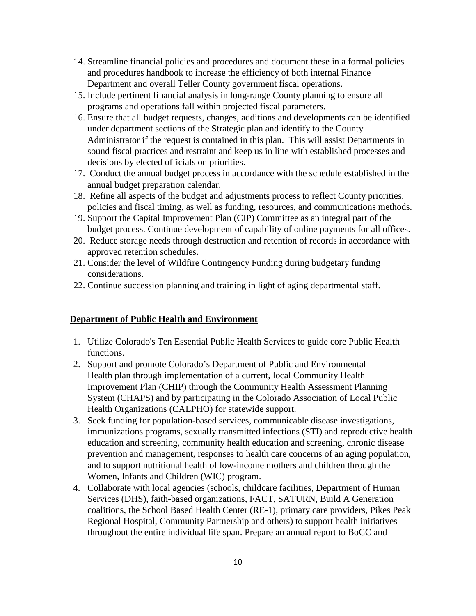- 14. Streamline financial policies and procedures and document these in a formal policies and procedures handbook to increase the efficiency of both internal Finance Department and overall Teller County government fiscal operations.
- 15. Include pertinent financial analysis in long-range County planning to ensure all programs and operations fall within projected fiscal parameters.
- 16. Ensure that all budget requests, changes, additions and developments can be identified under department sections of the Strategic plan and identify to the County Administrator if the request is contained in this plan. This will assist Departments in sound fiscal practices and restraint and keep us in line with established processes and decisions by elected officials on priorities.
- 17. Conduct the annual budget process in accordance with the schedule established in the annual budget preparation calendar.
- 18. Refine all aspects of the budget and adjustments process to reflect County priorities, policies and fiscal timing, as well as funding, resources, and communications methods.
- 19. Support the Capital Improvement Plan (CIP) Committee as an integral part of the budget process. Continue development of capability of online payments for all offices.
- 20. Reduce storage needs through destruction and retention of records in accordance with approved retention schedules.
- 21. Consider the level of Wildfire Contingency Funding during budgetary funding considerations.
- 22. Continue succession planning and training in light of aging departmental staff.

#### **Department of Public Health and Environment**

- 1. Utilize Colorado's Ten Essential Public Health Services to guide core Public Health functions.
- 2. Support and promote Colorado's Department of Public and Environmental Health plan through implementation of a current, local Community Health Improvement Plan (CHIP) through the Community Health Assessment Planning System (CHAPS) and by participating in the Colorado Association of Local Public Health Organizations (CALPHO) for statewide support.
- 3. Seek funding for population-based services, communicable disease investigations, immunizations programs, sexually transmitted infections (STI) and reproductive health education and screening, community health education and screening, chronic disease prevention and management, responses to health care concerns of an aging population, and to support nutritional health of low-income mothers and children through the Women, Infants and Children (WIC) program.
- 4. Collaborate with local agencies (schools, childcare facilities, Department of Human Services (DHS), faith-based organizations, FACT, SATURN, Build A Generation coalitions, the School Based Health Center (RE-1), primary care providers, Pikes Peak Regional Hospital, Community Partnership and others) to support health initiatives throughout the entire individual life span. Prepare an annual report to BoCC and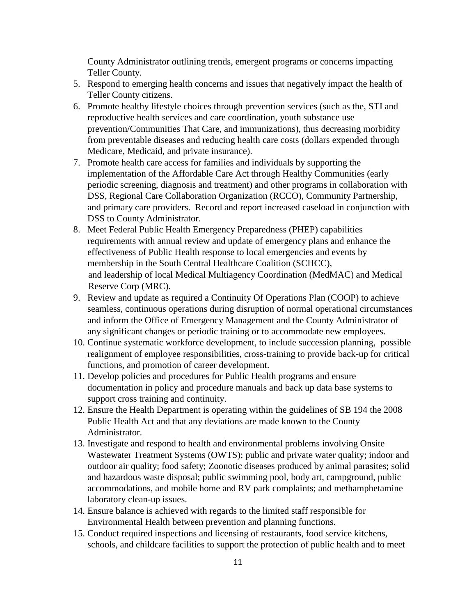County Administrator outlining trends, emergent programs or concerns impacting Teller County.

- 5. Respond to emerging health concerns and issues that negatively impact the health of Teller County citizens.
- 6. Promote healthy lifestyle choices through prevention services (such as the, STI and reproductive health services and care coordination, youth substance use prevention/Communities That Care, and immunizations), thus decreasing morbidity from preventable diseases and reducing health care costs (dollars expended through Medicare, Medicaid, and private insurance).
- 7. Promote health care access for families and individuals by supporting the implementation of the Affordable Care Act through Healthy Communities (early periodic screening, diagnosis and treatment) and other programs in collaboration with DSS, Regional Care Collaboration Organization (RCCO), Community Partnership, and primary care providers. Record and report increased caseload in conjunction with DSS to County Administrator.
- 8. Meet Federal Public Health Emergency Preparedness (PHEP) capabilities requirements with annual review and update of emergency plans and enhance the effectiveness of Public Health response to local emergencies and events by membership in the South Central Healthcare Coalition (SCHCC), and leadership of local Medical Multiagency Coordination (MedMAC) and Medical Reserve Corp (MRC).
- 9. Review and update as required a Continuity Of Operations Plan (COOP) to achieve seamless, continuous operations during disruption of normal operational circumstances and inform the Office of Emergency Management and the County Administrator of any significant changes or periodic training or to accommodate new employees.
- 10. Continue systematic workforce development, to include succession planning, possible realignment of employee responsibilities, cross-training to provide back-up for critical functions, and promotion of career development.
- 11. Develop policies and procedures for Public Health programs and ensure documentation in policy and procedure manuals and back up data base systems to support cross training and continuity.
- 12. Ensure the Health Department is operating within the guidelines of SB 194 the 2008 Public Health Act and that any deviations are made known to the County Administrator.
- 13. Investigate and respond to health and environmental problems involving Onsite Wastewater Treatment Systems (OWTS); public and private water quality; indoor and outdoor air quality; food safety; Zoonotic diseases produced by animal parasites; solid and hazardous waste disposal; public swimming pool, body art, campground, public accommodations, and mobile home and RV park complaints; and methamphetamine laboratory clean-up issues.
- 14. Ensure balance is achieved with regards to the limited staff responsible for Environmental Health between prevention and planning functions.
- 15. Conduct required inspections and licensing of restaurants, food service kitchens, schools, and childcare facilities to support the protection of public health and to meet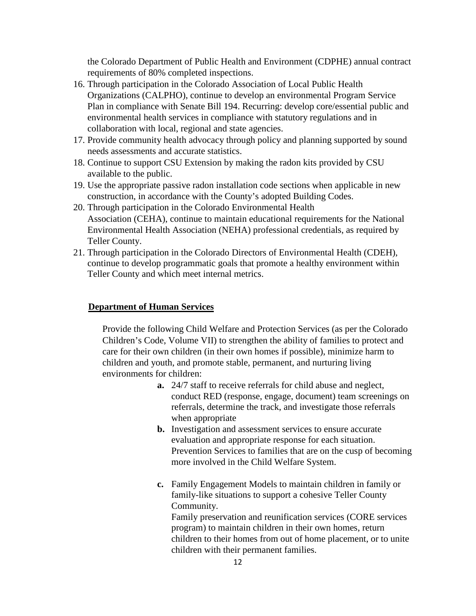the Colorado Department of Public Health and Environment (CDPHE) annual contract requirements of 80% completed inspections.

- 16. Through participation in the Colorado Association of Local Public Health Organizations (CALPHO), continue to develop an environmental Program Service Plan in compliance with Senate Bill 194. Recurring: develop core/essential public and environmental health services in compliance with statutory regulations and in collaboration with local, regional and state agencies.
- 17. Provide community health advocacy through policy and planning supported by sound needs assessments and accurate statistics.
- 18. Continue to support CSU Extension by making the radon kits provided by CSU available to the public.
- 19. Use the appropriate passive radon installation code sections when applicable in new construction, in accordance with the County's adopted Building Codes.
- 20. Through participation in the Colorado Environmental Health Association (CEHA), continue to maintain educational requirements for the National Environmental Health Association (NEHA) professional credentials, as required by Teller County.
- 21. Through participation in the Colorado Directors of Environmental Health (CDEH), continue to develop programmatic goals that promote a healthy environment within Teller County and which meet internal metrics.

#### **Department of Human Services**

Provide the following Child Welfare and Protection Services (as per the Colorado Children's Code, Volume VII) to strengthen the ability of families to protect and care for their own children (in their own homes if possible), minimize harm to children and youth, and promote stable, permanent, and nurturing living environments for children:

- **a.** 24/7 staff to receive referrals for child abuse and neglect, conduct RED (response, engage, document) team screenings on referrals, determine the track, and investigate those referrals when appropriate
- **b.** Investigation and assessment services to ensure accurate evaluation and appropriate response for each situation. Prevention Services to families that are on the cusp of becoming more involved in the Child Welfare System.
- **c.** Family Engagement Models to maintain children in family or family-like situations to support a cohesive Teller County Community.

Family preservation and reunification services (CORE services program) to maintain children in their own homes, return children to their homes from out of home placement, or to unite children with their permanent families.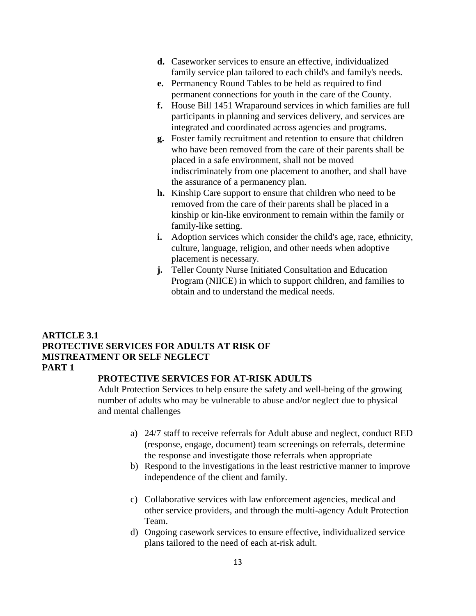- **d.** Caseworker services to ensure an effective, individualized family service plan tailored to each child's and family's needs.
- **e.** Permanency Round Tables to be held as required to find permanent connections for youth in the care of the County.
- **f.** House Bill 1451 Wraparound services in which families are full participants in planning and services delivery, and services are integrated and coordinated across agencies and programs.
- **g.** Foster family recruitment and retention to ensure that children who have been removed from the care of their parents shall be placed in a safe environment, shall not be moved indiscriminately from one placement to another, and shall have the assurance of a permanency plan.
- **h.** Kinship Care support to ensure that children who need to be removed from the care of their parents shall be placed in a kinship or kin-like environment to remain within the family or family-like setting.
- **i.** Adoption services which consider the child's age, race, ethnicity, culture, language, religion, and other needs when adoptive placement is necessary.
- **j.** Teller County Nurse Initiated Consultation and Education Program (NIICE) in which to support children, and families to obtain and to understand the medical needs.

# **ARTICLE 3.1 PROTECTIVE SERVICES FOR ADULTS AT RISK OF MISTREATMENT OR SELF NEGLECT PART 1**

#### **PROTECTIVE SERVICES FOR AT-RISK ADULTS**

Adult Protection Services to help ensure the safety and well-being of the growing number of adults who may be vulnerable to abuse and/or neglect due to physical and mental challenges

- a) 24/7 staff to receive referrals for Adult abuse and neglect, conduct RED (response, engage, document) team screenings on referrals, determine the response and investigate those referrals when appropriate
- b) Respond to the investigations in the least restrictive manner to improve independence of the client and family.
- c) Collaborative services with law enforcement agencies, medical and other service providers, and through the multi-agency Adult Protection Team.
- d) Ongoing casework services to ensure effective, individualized service plans tailored to the need of each at-risk adult.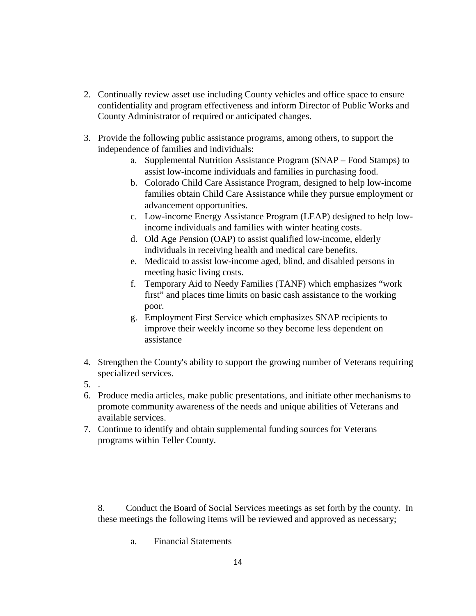- 2. Continually review asset use including County vehicles and office space to ensure confidentiality and program effectiveness and inform Director of Public Works and County Administrator of required or anticipated changes.
- 3. Provide the following public assistance programs, among others, to support the independence of families and individuals:
	- a. Supplemental Nutrition Assistance Program (SNAP Food Stamps) to assist low-income individuals and families in purchasing food.
	- b. Colorado Child Care Assistance Program, designed to help low-income families obtain Child Care Assistance while they pursue employment or advancement opportunities.
	- c. Low-income Energy Assistance Program (LEAP) designed to help lowincome individuals and families with winter heating costs.
	- d. Old Age Pension (OAP) to assist qualified low-income, elderly individuals in receiving health and medical care benefits.
	- e. Medicaid to assist low-income aged, blind, and disabled persons in meeting basic living costs.
	- f. Temporary Aid to Needy Families (TANF) which emphasizes "work first" and places time limits on basic cash assistance to the working poor.
	- g. Employment First Service which emphasizes SNAP recipients to improve their weekly income so they become less dependent on assistance
- 4. Strengthen the County's ability to support the growing number of Veterans requiring specialized services.
- 5. .
- 6. Produce media articles, make public presentations, and initiate other mechanisms to promote community awareness of the needs and unique abilities of Veterans and available services.
- 7. Continue to identify and obtain supplemental funding sources for Veterans programs within Teller County.

8. Conduct the Board of Social Services meetings as set forth by the county. In these meetings the following items will be reviewed and approved as necessary;

a. Financial Statements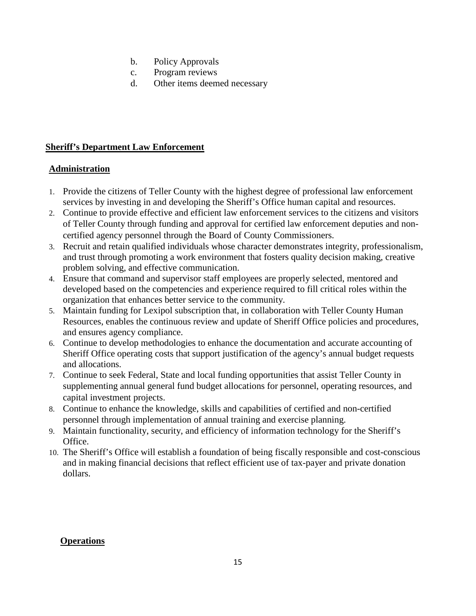- b. Policy Approvals
- c. Program reviews
- d. Other items deemed necessary

# **Sheriff's Department Law Enforcement**

# **Administration**

- 1. Provide the citizens of Teller County with the highest degree of professional law enforcement services by investing in and developing the Sheriff's Office human capital and resources.
- 2. Continue to provide effective and efficient law enforcement services to the citizens and visitors of Teller County through funding and approval for certified law enforcement deputies and noncertified agency personnel through the Board of County Commissioners.
- 3. Recruit and retain qualified individuals whose character demonstrates integrity, professionalism, and trust through promoting a work environment that fosters quality decision making, creative problem solving, and effective communication.
- 4. Ensure that command and supervisor staff employees are properly selected, mentored and developed based on the competencies and experience required to fill critical roles within the organization that enhances better service to the community.
- 5. Maintain funding for Lexipol subscription that, in collaboration with Teller County Human Resources, enables the continuous review and update of Sheriff Office policies and procedures, and ensures agency compliance.
- 6. Continue to develop methodologies to enhance the documentation and accurate accounting of Sheriff Office operating costs that support justification of the agency's annual budget requests and allocations.
- 7. Continue to seek Federal, State and local funding opportunities that assist Teller County in supplementing annual general fund budget allocations for personnel, operating resources, and capital investment projects.
- 8. Continue to enhance the knowledge, skills and capabilities of certified and non-certified personnel through implementation of annual training and exercise planning.
- 9. Maintain functionality, security, and efficiency of information technology for the Sheriff's Office.
- 10. The Sheriff's Office will establish a foundation of being fiscally responsible and cost-conscious and in making financial decisions that reflect efficient use of tax-payer and private donation dollars.

# **Operations**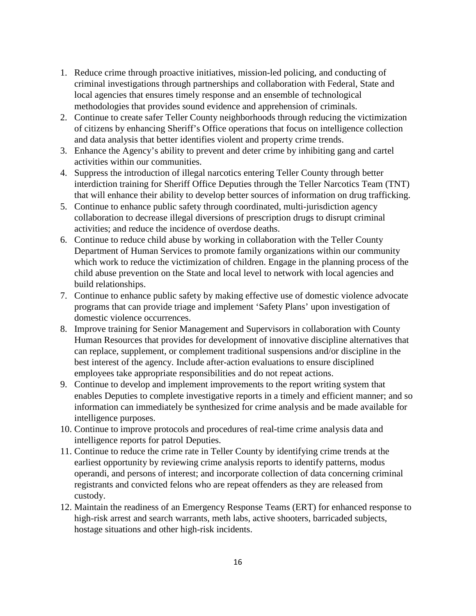- 1. Reduce crime through proactive initiatives, mission-led policing, and conducting of criminal investigations through partnerships and collaboration with Federal, State and local agencies that ensures timely response and an ensemble of technological methodologies that provides sound evidence and apprehension of criminals.
- 2. Continue to create safer Teller County neighborhoods through reducing the victimization of citizens by enhancing Sheriff's Office operations that focus on intelligence collection and data analysis that better identifies violent and property crime trends.
- 3. Enhance the Agency's ability to prevent and deter crime by inhibiting gang and cartel activities within our communities.
- 4. Suppress the introduction of illegal narcotics entering Teller County through better interdiction training for Sheriff Office Deputies through the Teller Narcotics Team (TNT) that will enhance their ability to develop better sources of information on drug trafficking.
- 5. Continue to enhance public safety through coordinated, multi-jurisdiction agency collaboration to decrease illegal diversions of prescription drugs to disrupt criminal activities; and reduce the incidence of overdose deaths.
- 6. Continue to reduce child abuse by working in collaboration with the Teller County Department of Human Services to promote family organizations within our community which work to reduce the victimization of children. Engage in the planning process of the child abuse prevention on the State and local level to network with local agencies and build relationships.
- 7. Continue to enhance public safety by making effective use of domestic violence advocate programs that can provide triage and implement 'Safety Plans' upon investigation of domestic violence occurrences.
- 8. Improve training for Senior Management and Supervisors in collaboration with County Human Resources that provides for development of innovative discipline alternatives that can replace, supplement, or complement traditional suspensions and/or discipline in the best interest of the agency. Include after-action evaluations to ensure disciplined employees take appropriate responsibilities and do not repeat actions.
- 9. Continue to develop and implement improvements to the report writing system that enables Deputies to complete investigative reports in a timely and efficient manner; and so information can immediately be synthesized for crime analysis and be made available for intelligence purposes.
- 10. Continue to improve protocols and procedures of real-time crime analysis data and intelligence reports for patrol Deputies.
- 11. Continue to reduce the crime rate in Teller County by identifying crime trends at the earliest opportunity by reviewing crime analysis reports to identify patterns, modus operandi, and persons of interest; and incorporate collection of data concerning criminal registrants and convicted felons who are repeat offenders as they are released from custody.
- 12. Maintain the readiness of an Emergency Response Teams (ERT) for enhanced response to high-risk arrest and search warrants, meth labs, active shooters, barricaded subjects, hostage situations and other high-risk incidents.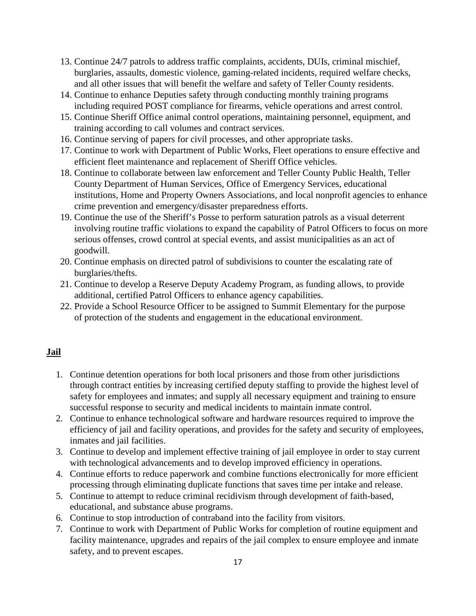- 13. Continue 24/7 patrols to address traffic complaints, accidents, DUIs, criminal mischief, burglaries, assaults, domestic violence, gaming-related incidents, required welfare checks, and all other issues that will benefit the welfare and safety of Teller County residents.
- 14. Continue to enhance Deputies safety through conducting monthly training programs including required POST compliance for firearms, vehicle operations and arrest control.
- 15. Continue Sheriff Office animal control operations, maintaining personnel, equipment, and training according to call volumes and contract services.
- 16. Continue serving of papers for civil processes, and other appropriate tasks.
- 17. Continue to work with Department of Public Works, Fleet operations to ensure effective and efficient fleet maintenance and replacement of Sheriff Office vehicles.
- 18. Continue to collaborate between law enforcement and Teller County Public Health, Teller County Department of Human Services, Office of Emergency Services, educational institutions, Home and Property Owners Associations, and local nonprofit agencies to enhance crime prevention and emergency/disaster preparedness efforts.
- 19. Continue the use of the Sheriff's Posse to perform saturation patrols as a visual deterrent involving routine traffic violations to expand the capability of Patrol Officers to focus on more serious offenses, crowd control at special events, and assist municipalities as an act of goodwill.
- 20. Continue emphasis on directed patrol of subdivisions to counter the escalating rate of burglaries/thefts.
- 21. Continue to develop a Reserve Deputy Academy Program, as funding allows, to provide additional, certified Patrol Officers to enhance agency capabilities.
- 22. Provide a School Resource Officer to be assigned to Summit Elementary for the purpose of protection of the students and engagement in the educational environment.

# **Jail**

- 1. Continue detention operations for both local prisoners and those from other jurisdictions through contract entities by increasing certified deputy staffing to provide the highest level of safety for employees and inmates; and supply all necessary equipment and training to ensure successful response to security and medical incidents to maintain inmate control.
- 2. Continue to enhance technological software and hardware resources required to improve the efficiency of jail and facility operations, and provides for the safety and security of employees, inmates and jail facilities.
- 3. Continue to develop and implement effective training of jail employee in order to stay current with technological advancements and to develop improved efficiency in operations.
- 4. Continue efforts to reduce paperwork and combine functions electronically for more efficient processing through eliminating duplicate functions that saves time per intake and release.
- 5. Continue to attempt to reduce criminal recidivism through development of faith-based, educational, and substance abuse programs.
- 6. Continue to stop introduction of contraband into the facility from visitors.
- 7. Continue to work with Department of Public Works for completion of routine equipment and facility maintenance, upgrades and repairs of the jail complex to ensure employee and inmate safety, and to prevent escapes.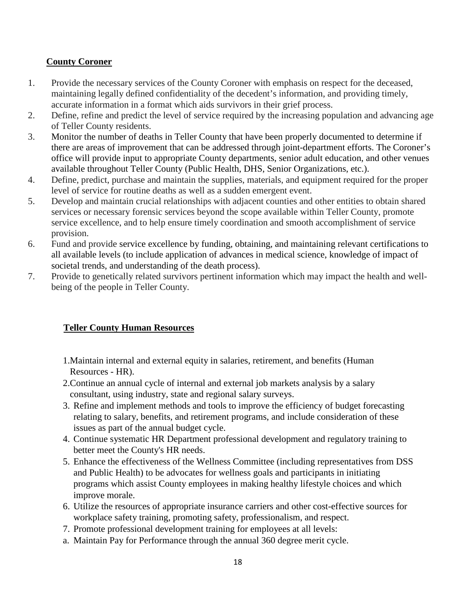# **County Coroner**

- 1. Provide the necessary services of the County Coroner with emphasis on respect for the deceased, maintaining legally defined confidentiality of the decedent's information, and providing timely, accurate information in a format which aids survivors in their grief process.
- 2. Define, refine and predict the level of service required by the increasing population and advancing age of Teller County residents.
- 3. Monitor the number of deaths in Teller County that have been properly documented to determine if there are areas of improvement that can be addressed through joint-department efforts. The Coroner's office will provide input to appropriate County departments, senior adult education, and other venues available throughout Teller County (Public Health, DHS, Senior Organizations, etc.).
- 4. Define, predict, purchase and maintain the supplies, materials, and equipment required for the proper level of service for routine deaths as well as a sudden emergent event.
- 5. Develop and maintain crucial relationships with adjacent counties and other entities to obtain shared services or necessary forensic services beyond the scope available within Teller County, promote service excellence, and to help ensure timely coordination and smooth accomplishment of service provision.
- 6. Fund and provide service excellence by funding, obtaining, and maintaining relevant certifications to all available levels (to include application of advances in medical science, knowledge of impact of societal trends, and understanding of the death process).
- 7. Provide to genetically related survivors pertinent information which may impact the health and wellbeing of the people in Teller County.

# **Teller County Human Resources**

- 1.Maintain internal and external equity in salaries, retirement, and benefits (Human Resources - HR).
- 2.Continue an annual cycle of internal and external job markets analysis by a salary consultant, using industry, state and regional salary surveys.
- 3. Refine and implement methods and tools to improve the efficiency of budget forecasting relating to salary, benefits, and retirement programs, and include consideration of these issues as part of the annual budget cycle.
- 4. Continue systematic HR Department professional development and regulatory training to better meet the County's HR needs.
- 5. Enhance the effectiveness of the Wellness Committee (including representatives from DSS and Public Health) to be advocates for wellness goals and participants in initiating programs which assist County employees in making healthy lifestyle choices and which improve morale.
- 6. Utilize the resources of appropriate insurance carriers and other cost-effective sources for workplace safety training, promoting safety, professionalism, and respect.
- 7. Promote professional development training for employees at all levels:
- a. Maintain Pay for Performance through the annual 360 degree merit cycle.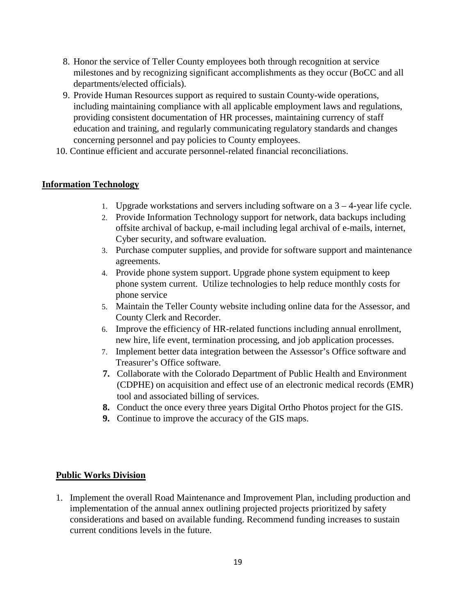- 8. Honor the service of Teller County employees both through recognition at service milestones and by recognizing significant accomplishments as they occur (BoCC and all departments/elected officials).
- 9. Provide Human Resources support as required to sustain County-wide operations, including maintaining compliance with all applicable employment laws and regulations, providing consistent documentation of HR processes, maintaining currency of staff education and training, and regularly communicating regulatory standards and changes concerning personnel and pay policies to County employees.
- 10. Continue efficient and accurate personnel-related financial reconciliations.

#### **Information Technology**

- 1. Upgrade workstations and servers including software on a  $3 4$ -year life cycle.
- 2. Provide Information Technology support for network, data backups including offsite archival of backup, e-mail including legal archival of e-mails, internet, Cyber security, and software evaluation.
- 3. Purchase computer supplies, and provide for software support and maintenance agreements.
- 4. Provide phone system support. Upgrade phone system equipment to keep phone system current. Utilize technologies to help reduce monthly costs for phone service
- 5. Maintain the Teller County website including online data for the Assessor, and County Clerk and Recorder.
- 6. Improve the efficiency of HR-related functions including annual enrollment, new hire, life event, termination processing, and job application processes.
- 7. Implement better data integration between the Assessor's Office software and Treasurer's Office software.
- **7.** Collaborate with the Colorado Department of Public Health and Environment (CDPHE) on acquisition and effect use of an electronic medical records (EMR) tool and associated billing of services.
- **8.** Conduct the once every three years Digital Ortho Photos project for the GIS.
- **9.** Continue to improve the accuracy of the GIS maps.

#### **Public Works Division**

1. Implement the overall Road Maintenance and Improvement Plan, including production and implementation of the annual annex outlining projected projects prioritized by safety considerations and based on available funding. Recommend funding increases to sustain current conditions levels in the future.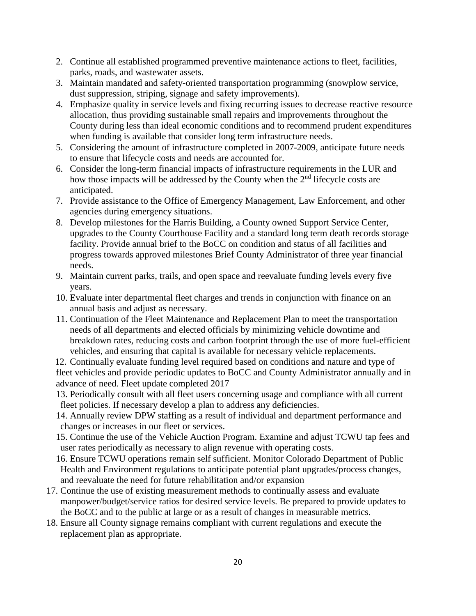- 2. Continue all established programmed preventive maintenance actions to fleet, facilities, parks, roads, and wastewater assets.
- 3. Maintain mandated and safety-oriented transportation programming (snowplow service, dust suppression, striping, signage and safety improvements).
- 4. Emphasize quality in service levels and fixing recurring issues to decrease reactive resource allocation, thus providing sustainable small repairs and improvements throughout the County during less than ideal economic conditions and to recommend prudent expenditures when funding is available that consider long term infrastructure needs.
- 5. Considering the amount of infrastructure completed in 2007-2009, anticipate future needs to ensure that lifecycle costs and needs are accounted for.
- 6. Consider the long-term financial impacts of infrastructure requirements in the LUR and how those impacts will be addressed by the County when the 2<sup>nd</sup> lifecycle costs are anticipated.
- 7. Provide assistance to the Office of Emergency Management, Law Enforcement, and other agencies during emergency situations.
- 8. Develop milestones for the Harris Building, a County owned Support Service Center, upgrades to the County Courthouse Facility and a standard long term death records storage facility. Provide annual brief to the BoCC on condition and status of all facilities and progress towards approved milestones Brief County Administrator of three year financial needs.
- 9. Maintain current parks, trails, and open space and reevaluate funding levels every five years.
- 10. Evaluate inter departmental fleet charges and trends in conjunction with finance on an annual basis and adjust as necessary.
- 11. Continuation of the Fleet Maintenance and Replacement Plan to meet the transportation needs of all departments and elected officials by minimizing vehicle downtime and breakdown rates, reducing costs and carbon footprint through the use of more fuel-efficient vehicles, and ensuring that capital is available for necessary vehicle replacements.

12. Continually evaluate funding level required based on conditions and nature and type of fleet vehicles and provide periodic updates to BoCC and County Administrator annually and in advance of need. Fleet update completed 2017

- 13. Periodically consult with all fleet users concerning usage and compliance with all current fleet policies. If necessary develop a plan to address any deficiencies.
- 14. Annually review DPW staffing as a result of individual and department performance and changes or increases in our fleet or services.
- 15. Continue the use of the Vehicle Auction Program. Examine and adjust TCWU tap fees and user rates periodically as necessary to align revenue with operating costs.
- 16. Ensure TCWU operations remain self sufficient. Monitor Colorado Department of Public Health and Environment regulations to anticipate potential plant upgrades/process changes, and reevaluate the need for future rehabilitation and/or expansion
- 17. Continue the use of existing measurement methods to continually assess and evaluate manpower/budget/service ratios for desired service levels. Be prepared to provide updates to the BoCC and to the public at large or as a result of changes in measurable metrics.
- 18. Ensure all County signage remains compliant with current regulations and execute the replacement plan as appropriate.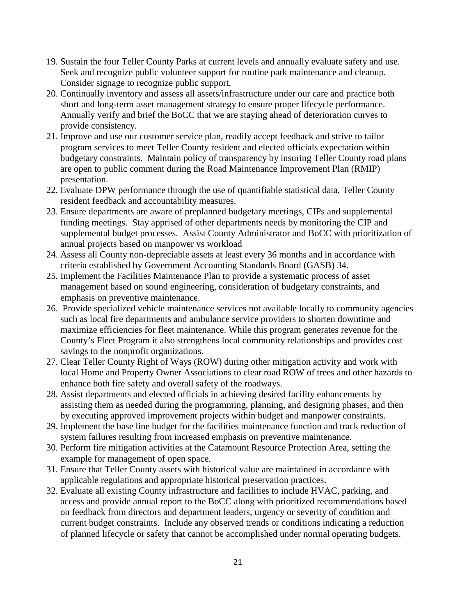- 19. Sustain the four Teller County Parks at current levels and annually evaluate safety and use. Seek and recognize public volunteer support for routine park maintenance and cleanup. Consider signage to recognize public support.
- 20. Continually inventory and assess all assets/infrastructure under our care and practice both short and long-term asset management strategy to ensure proper lifecycle performance. Annually verify and brief the BoCC that we are staying ahead of deterioration curves to provide consistency.
- 21. Improve and use our customer service plan, readily accept feedback and strive to tailor program services to meet Teller County resident and elected officials expectation within budgetary constraints. Maintain policy of transparency by insuring Teller County road plans are open to public comment during the Road Maintenance Improvement Plan (RMIP) presentation.
- 22. Evaluate DPW performance through the use of quantifiable statistical data, Teller County resident feedback and accountability measures.
- 23. Ensure departments are aware of preplanned budgetary meetings, CIPs and supplemental funding meetings. Stay apprised of other departments needs by monitoring the CIP and supplemental budget processes. Assist County Administrator and BoCC with prioritization of annual projects based on manpower vs workload
- 24. Assess all County non-depreciable assets at least every 36 months and in accordance with criteria established by Government Accounting Standards Board (GASB) 34.
- 25. Implement the Facilities Maintenance Plan to provide a systematic process of asset management based on sound engineering, consideration of budgetary constraints, and emphasis on preventive maintenance.
- 26. Provide specialized vehicle maintenance services not available locally to community agencies such as local fire departments and ambulance service providers to shorten downtime and maximize efficiencies for fleet maintenance. While this program generates revenue for the County's Fleet Program it also strengthens local community relationships and provides cost savings to the nonprofit organizations.
- 27. Clear Teller County Right of Ways (ROW) during other mitigation activity and work with local Home and Property Owner Associations to clear road ROW of trees and other hazards to enhance both fire safety and overall safety of the roadways.
- 28. Assist departments and elected officials in achieving desired facility enhancements by assisting them as needed during the programming, planning, and designing phases, and then by executing approved improvement projects within budget and manpower constraints.
- 29. Implement the base line budget for the facilities maintenance function and track reduction of system failures resulting from increased emphasis on preventive maintenance.
- 30. Perform fire mitigation activities at the Catamount Resource Protection Area, setting the example for management of open space.
- 31. Ensure that Teller County assets with historical value are maintained in accordance with applicable regulations and appropriate historical preservation practices.
- 32. Evaluate all existing County infrastructure and facilities to include HVAC, parking, and access and provide annual report to the BoCC along with prioritized recommendations based on feedback from directors and department leaders, urgency or severity of condition and current budget constraints. Include any observed trends or conditions indicating a reduction of planned lifecycle or safety that cannot be accomplished under normal operating budgets.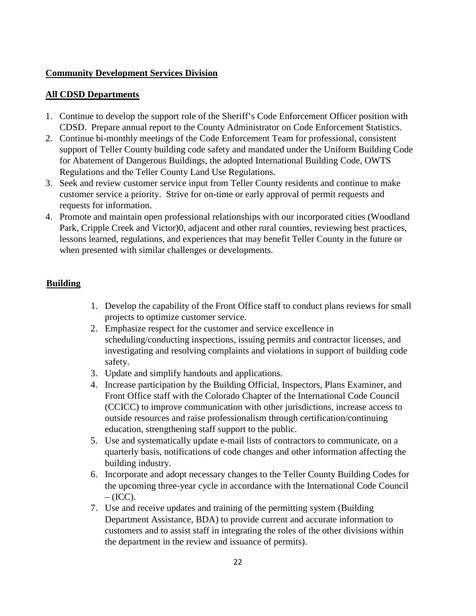## **Community Development Services Division**

#### **All CDSD Departments**

- 1. Continue to develop the support role of the Sheriff's Code Enforcement Officer position with CDSD. Prepare annual report to the County Administrator on Code Enforcement Statistics.
- 2. Continue bi-monthly meetings of the Code Enforcement Team for professional, consistent support of Teller County building code safety and mandated under the Uniform Building Code for Abatement of Dangerous Buildings, the adopted International Building Code, OWTS Regulations and the Teller County Land Use Regulations.
- 3. Seek and review customer service input from Teller County residents and continue to make customer service a priority. Strive for on-time or early approval of permit requests and requests for information.
- 4. Promote and maintain open professional relationships with our incorporated cities (Woodland Park, Cripple Creek and Victor)0, adjacent and other rural counties, reviewing best practices, lessons learned, regulations, and experiences that may benefit Teller County in the future or when presented with similar challenges or developments.

#### **Building**

- 1. Develop the capability of the Front Office staff to conduct plans reviews for small projects to optimize customer service.
- 2. Emphasize respect for the customer and service excellence in scheduling/conducting inspections, issuing permits and contractor licenses, and investigating and resolving complaints and violations in support of building code safety.
- 3. Update and simplify handouts and applications.
- 4. Increase participation by the Building Official, Inspectors, Plans Examiner, and Front Office staff with the Colorado Chapter of the International Code Council (CCICC) to improve communication with other jurisdictions, increase access to outside resources and raise professionalism through certification/continuing education, strengthening staff support to the public.
- 5. Use and systematically update e-mail lists of contractors to communicate, on a quarterly basis, notifications of code changes and other information affecting the building industry.
- 6. Incorporate and adopt necessary changes to the Teller County Building Codes for the upcoming three-year cycle in accordance with the International Code Council  $-$  (ICC).
- 7. Use and receive updates and training of the permitting system (Building Department Assistance, BDA) to provide current and accurate information to customers and to assist staff in integrating the roles of the other divisions within the department in the review and issuance of permits).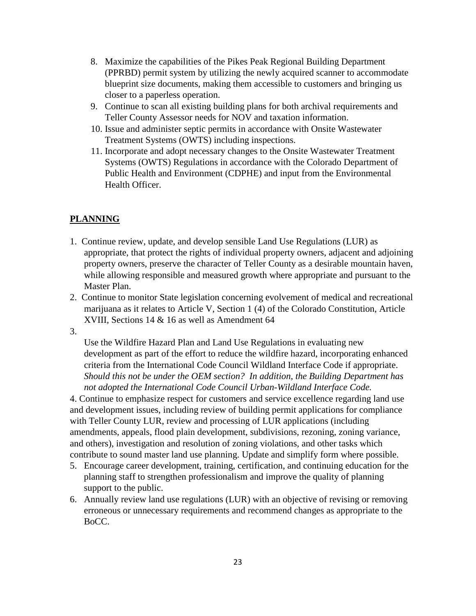- 8. Maximize the capabilities of the Pikes Peak Regional Building Department (PPRBD) permit system by utilizing the newly acquired scanner to accommodate blueprint size documents, making them accessible to customers and bringing us closer to a paperless operation.
- 9. Continue to scan all existing building plans for both archival requirements and Teller County Assessor needs for NOV and taxation information.
- 10. Issue and administer septic permits in accordance with Onsite Wastewater Treatment Systems (OWTS) including inspections.
- 11. Incorporate and adopt necessary changes to the Onsite Wastewater Treatment Systems (OWTS) Regulations in accordance with the Colorado Department of Public Health and Environment (CDPHE) and input from the Environmental Health Officer.

# **PLANNING**

- 1. Continue review, update, and develop sensible Land Use Regulations (LUR) as appropriate, that protect the rights of individual property owners, adjacent and adjoining property owners, preserve the character of Teller County as a desirable mountain haven, while allowing responsible and measured growth where appropriate and pursuant to the Master Plan.
- 2. Continue to monitor State legislation concerning evolvement of medical and recreational marijuana as it relates to Article V, Section 1 (4) of the Colorado Constitution, Article XVIII, Sections 14 & 16 as well as Amendment 64
- 3.

Use the Wildfire Hazard Plan and Land Use Regulations in evaluating new development as part of the effort to reduce the wildfire hazard, incorporating enhanced criteria from the International Code Council Wildland Interface Code if appropriate. *Should this not be under the OEM section? In addition, the Building Department has not adopted the International Code Council Urban-Wildland Interface Code.*

4. Continue to emphasize respect for customers and service excellence regarding land use and development issues, including review of building permit applications for compliance with Teller County LUR, review and processing of LUR applications (including amendments, appeals, flood plain development, subdivisions, rezoning, zoning variance, and others), investigation and resolution of zoning violations, and other tasks which contribute to sound master land use planning. Update and simplify form where possible.

- 5. Encourage career development, training, certification, and continuing education for the planning staff to strengthen professionalism and improve the quality of planning support to the public.
- 6. Annually review land use regulations (LUR) with an objective of revising or removing erroneous or unnecessary requirements and recommend changes as appropriate to the BoCC.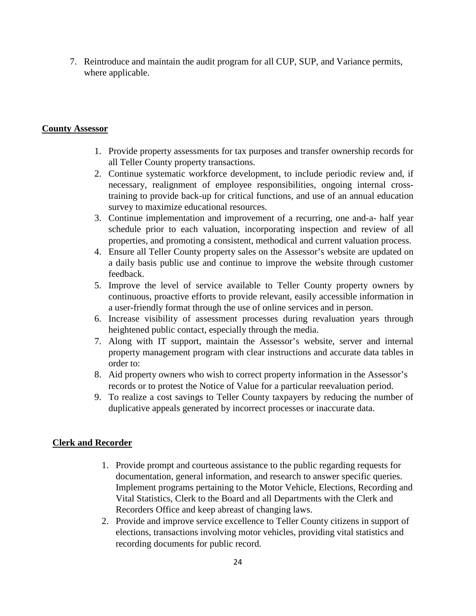7. Reintroduce and maintain the audit program for all CUP, SUP, and Variance permits, where applicable.

#### **County Assessor**

- 1. Provide property assessments for tax purposes and transfer ownership records for all Teller County property transactions.
- 2. Continue systematic workforce development, to include periodic review and, if necessary, realignment of employee responsibilities, ongoing internal crosstraining to provide back-up for critical functions, and use of an annual education survey to maximize educational resources.
- 3. Continue implementation and improvement of a recurring, one and-a- half year schedule prior to each valuation, incorporating inspection and review of all properties, and promoting a consistent, methodical and current valuation process.
- 4. Ensure all Teller County property sales on the Assessor's website are updated on a daily basis public use and continue to improve the website through customer feedback.
- 5. Improve the level of service available to Teller County property owners by continuous, proactive efforts to provide relevant, easily accessible information in a user-friendly format through the use of online services and in person.
- 6. Increase visibility of assessment processes during revaluation years through heightened public contact, especially through the media.
- 7. Along with IT support, maintain the Assessor's website, server and internal property management program with clear instructions and accurate data tables in order to:
- 8. Aid property owners who wish to correct property information in the Assessor's records or to protest the Notice of Value for a particular reevaluation period.
- 9. To realize a cost savings to Teller County taxpayers by reducing the number of duplicative appeals generated by incorrect processes or inaccurate data.

#### **Clerk and Recorder**

- 1. Provide prompt and courteous assistance to the public regarding requests for documentation, general information, and research to answer specific queries. Implement programs pertaining to the Motor Vehicle, Elections, Recording and Vital Statistics, Clerk to the Board and all Departments with the Clerk and Recorders Office and keep abreast of changing laws.
- 2. Provide and improve service excellence to Teller County citizens in support of elections, transactions involving motor vehicles, providing vital statistics and recording documents for public record.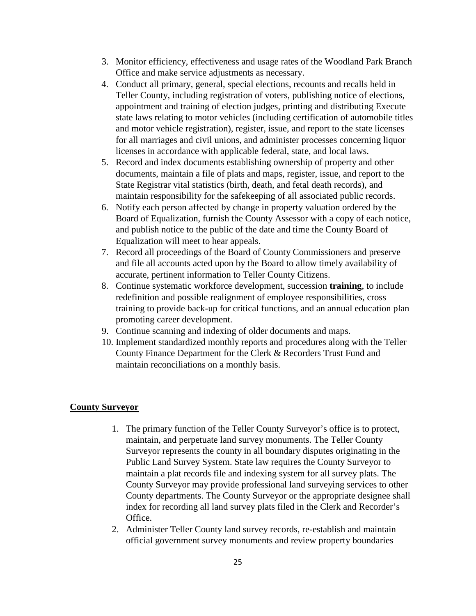- 3. Monitor efficiency, effectiveness and usage rates of the Woodland Park Branch Office and make service adjustments as necessary.
- 4. Conduct all primary, general, special elections, recounts and recalls held in Teller County, including registration of voters, publishing notice of elections, appointment and training of election judges, printing and distributing Execute state laws relating to motor vehicles (including certification of automobile titles and motor vehicle registration), register, issue, and report to the state licenses for all marriages and civil unions, and administer processes concerning liquor licenses in accordance with applicable federal, state, and local laws.
- 5. Record and index documents establishing ownership of property and other documents, maintain a file of plats and maps, register, issue, and report to the State Registrar vital statistics (birth, death, and fetal death records), and maintain responsibility for the safekeeping of all associated public records.
- 6. Notify each person affected by change in property valuation ordered by the Board of Equalization, furnish the County Assessor with a copy of each notice, and publish notice to the public of the date and time the County Board of Equalization will meet to hear appeals.
- 7. Record all proceedings of the Board of County Commissioners and preserve and file all accounts acted upon by the Board to allow timely availability of accurate, pertinent information to Teller County Citizens.
- 8. Continue systematic workforce development, succession **training**, to include redefinition and possible realignment of employee responsibilities, cross training to provide back-up for critical functions, and an annual education plan promoting career development.
- 9. Continue scanning and indexing of older documents and maps.
- 10. Implement standardized monthly reports and procedures along with the Teller County Finance Department for the Clerk & Recorders Trust Fund and maintain reconciliations on a monthly basis.

#### **County Surveyor**

- 1. The primary function of the Teller County Surveyor's office is to protect, maintain, and perpetuate land survey monuments. The Teller County Surveyor represents the county in all boundary disputes originating in the Public Land Survey System. State law requires the County Surveyor to maintain a plat records file and indexing system for all survey plats. The County Surveyor may provide professional land surveying services to other County departments. The County Surveyor or the appropriate designee shall index for recording all land survey plats filed in the Clerk and Recorder's Office.
- 2. Administer Teller County land survey records, re-establish and maintain official government survey monuments and review property boundaries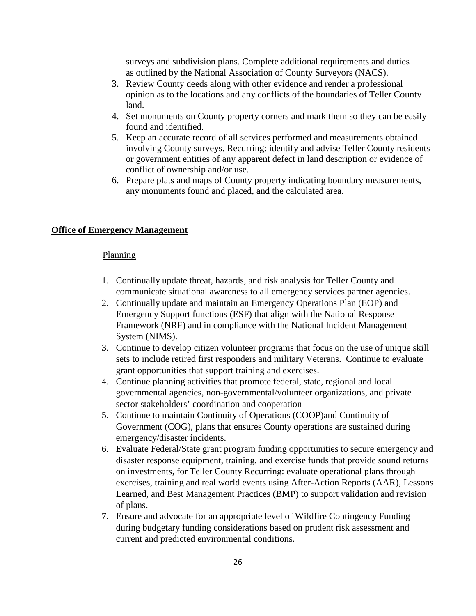surveys and subdivision plans. Complete additional requirements and duties as outlined by the National Association of County Surveyors (NACS).

- 3. Review County deeds along with other evidence and render a professional opinion as to the locations and any conflicts of the boundaries of Teller County land.
- 4. Set monuments on County property corners and mark them so they can be easily found and identified.
- 5. Keep an accurate record of all services performed and measurements obtained involving County surveys. Recurring: identify and advise Teller County residents or government entities of any apparent defect in land description or evidence of conflict of ownership and/or use.
- 6. Prepare plats and maps of County property indicating boundary measurements, any monuments found and placed, and the calculated area.

#### **Office of Emergency Management**

#### Planning

- 1. Continually update threat, hazards, and risk analysis for Teller County and communicate situational awareness to all emergency services partner agencies.
- 2. Continually update and maintain an Emergency Operations Plan (EOP) and Emergency Support functions (ESF) that align with the National Response Framework (NRF) and in compliance with the National Incident Management System (NIMS).
- 3. Continue to develop citizen volunteer programs that focus on the use of unique skill sets to include retired first responders and military Veterans. Continue to evaluate grant opportunities that support training and exercises.
- 4. Continue planning activities that promote federal, state, regional and local governmental agencies, non-governmental/volunteer organizations, and private sector stakeholders' coordination and cooperation
- 5. Continue to maintain Continuity of Operations (COOP)and Continuity of Government (COG), plans that ensures County operations are sustained during emergency/disaster incidents.
- 6. Evaluate Federal/State grant program funding opportunities to secure emergency and disaster response equipment, training, and exercise funds that provide sound returns on investments, for Teller County Recurring: evaluate operational plans through exercises, training and real world events using After-Action Reports (AAR), Lessons Learned, and Best Management Practices (BMP) to support validation and revision of plans.
- 7. Ensure and advocate for an appropriate level of Wildfire Contingency Funding during budgetary funding considerations based on prudent risk assessment and current and predicted environmental conditions.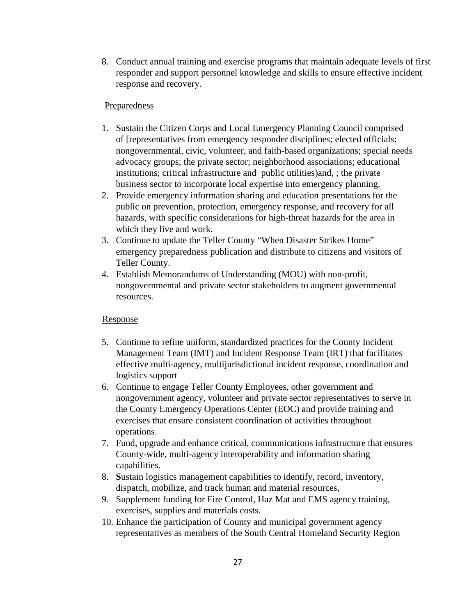8. Conduct annual training and exercise programs that maintain adequate levels of first responder and support personnel knowledge and skills to ensure effective incident response and recovery.

#### Preparedness

- 1. Sustain the Citizen Corps and Local Emergency Planning Council comprised of [representatives from emergency responder disciplines; elected officials; nongovernmental, civic, volunteer, and faith-based organizations; special needs advocacy groups; the private sector; neighborhood associations; educational institutions; critical infrastructure and public utilities)and, ; the private business sector to incorporate local expertise into emergency planning.
- 2. Provide emergency information sharing and education presentations for the public on prevention, protection, emergency response, and recovery for all hazards, with specific considerations for high-threat hazards for the area in which they live and work.
- 3. Continue to update the Teller County "When Disaster Strikes Home" emergency preparedness publication and distribute to citizens and visitors of Teller County.
- 4. Establish Memorandums of Understanding (MOU) with non-profit, nongovernmental and private sector stakeholders to augment governmental resources.

#### Response

- 5. Continue to refine uniform, standardized practices for the County Incident Management Team (IMT) and Incident Response Team (IRT) that facilitates effective multi-agency, multijurisdictional incident response, coordination and logistics support
- 6. Continue to engage Teller County Employees, other government and nongovernment agency, volunteer and private sector representatives to serve in the County Emergency Operations Center (EOC) and provide training and exercises that ensure consistent coordination of activities throughout operations.
- 7. Fund, upgrade and enhance critical, communications infrastructure that ensures County-wide, multi-agency interoperability and information sharing capabilities.
- 8. **S**ustain logistics management capabilities to identify, record, inventory, dispatch, mobilize, and track human and material resources,
- 9. Supplement funding for Fire Control, Haz Mat and EMS agency training, exercises, supplies and materials costs.
- 10. Enhance the participation of County and municipal government agency representatives as members of the South Central Homeland Security Region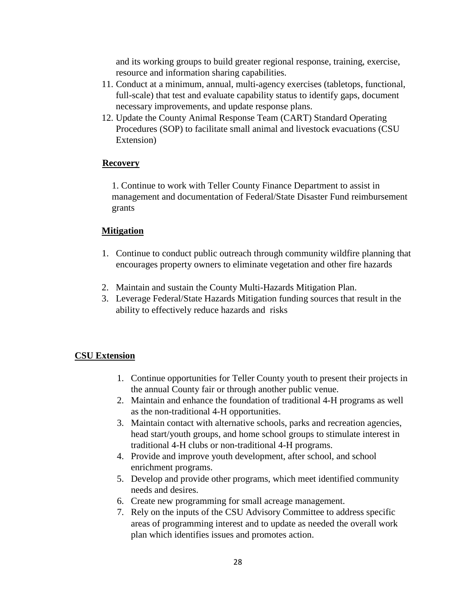and its working groups to build greater regional response, training, exercise, resource and information sharing capabilities.

- 11. Conduct at a minimum, annual, multi-agency exercises (tabletops, functional, full-scale) that test and evaluate capability status to identify gaps, document necessary improvements, and update response plans.
- 12. Update the County Animal Response Team (CART) Standard Operating Procedures (SOP) to facilitate small animal and livestock evacuations (CSU Extension)

#### **Recovery**

1. Continue to work with Teller County Finance Department to assist in management and documentation of Federal/State Disaster Fund reimbursement grants

#### **Mitigation**

- 1. Continue to conduct public outreach through community wildfire planning that encourages property owners to eliminate vegetation and other fire hazards
- 2. Maintain and sustain the County Multi-Hazards Mitigation Plan.
- 3. Leverage Federal/State Hazards Mitigation funding sources that result in the ability to effectively reduce hazards and risks

#### **CSU Extension**

- 1. Continue opportunities for Teller County youth to present their projects in the annual County fair or through another public venue.
- 2. Maintain and enhance the foundation of traditional 4-H programs as well as the non-traditional 4-H opportunities.
- 3. Maintain contact with alternative schools, parks and recreation agencies, head start/youth groups, and home school groups to stimulate interest in traditional 4-H clubs or non-traditional 4-H programs.
- 4. Provide and improve youth development, after school, and school enrichment programs.
- 5. Develop and provide other programs, which meet identified community needs and desires.
- 6. Create new programming for small acreage management.
- 7. Rely on the inputs of the CSU Advisory Committee to address specific areas of programming interest and to update as needed the overall work plan which identifies issues and promotes action.